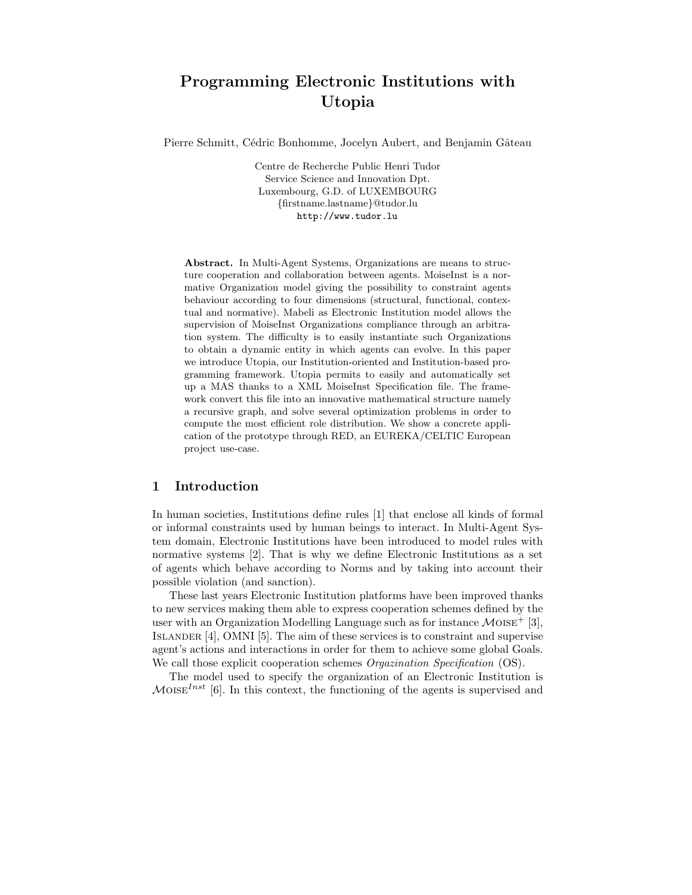# Programming Electronic Institutions with Utopia

Pierre Schmitt, Cédric Bonhomme, Jocelyn Aubert, and Benjamin Gâteau

Centre de Recherche Public Henri Tudor Service Science and Innovation Dpt. Luxembourg, G.D. of LUXEMBOURG {firstname.lastname}@tudor.lu http://www.tudor.lu

Abstract. In Multi-Agent Systems, Organizations are means to structure cooperation and collaboration between agents. MoiseInst is a normative Organization model giving the possibility to constraint agents behaviour according to four dimensions (structural, functional, contextual and normative). Mabeli as Electronic Institution model allows the supervision of MoiseInst Organizations compliance through an arbitration system. The difficulty is to easily instantiate such Organizations to obtain a dynamic entity in which agents can evolve. In this paper we introduce Utopia, our Institution-oriented and Institution-based programming framework. Utopia permits to easily and automatically set up a MAS thanks to a XML MoiseInst Specification file. The framework convert this file into an innovative mathematical structure namely a recursive graph, and solve several optimization problems in order to compute the most efficient role distribution. We show a concrete application of the prototype through RED, an EUREKA/CELTIC European project use-case.

#### 1 Introduction

In human societies, Institutions define rules [1] that enclose all kinds of formal or informal constraints used by human beings to interact. In Multi-Agent System domain, Electronic Institutions have been introduced to model rules with normative systems [2]. That is why we define Electronic Institutions as a set of agents which behave according to Norms and by taking into account their possible violation (and sanction).

These last years Electronic Institution platforms have been improved thanks to new services making them able to express cooperation schemes defined by the user with an Organization Modelling Language such as for instance  $\mathcal{M}$ OISE<sup>+</sup> [3], Islander [4], OMNI [5]. The aim of these services is to constraint and supervise agent's actions and interactions in order for them to achieve some global Goals. We call those explicit cooperation schemes *Orgazination Specification* (OS).

The model used to specify the organization of an Electronic Institution is  $M$ OISE<sup>Inst</sup> [6]. In this context, the functioning of the agents is supervised and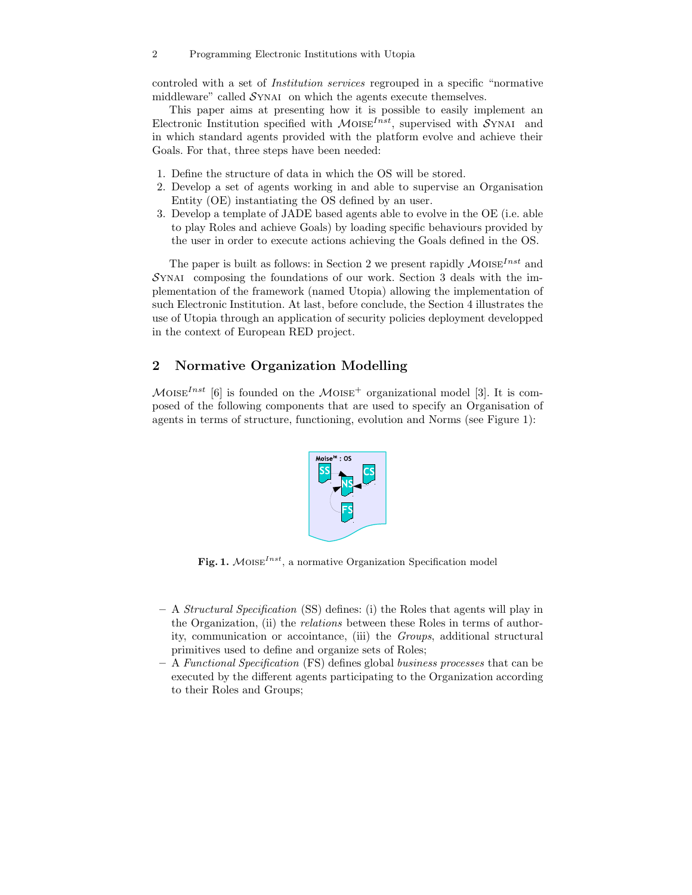controled with a set of Institution services regrouped in a specific "normative middleware" called  $\mathcal{S}$ YNAI on which the agents execute themselves.

This paper aims at presenting how it is possible to easily implement an Electronic Institution specified with  $\mathcal{M}$ OISE<sup>Inst</sup>, supervised with SYNAI and in which standard agents provided with the platform evolve and achieve their Goals. For that, three steps have been needed:

- 1. Define the structure of data in which the OS will be stored.
- 2. Develop a set of agents working in and able to supervise an Organisation Entity (OE) instantiating the OS defined by an user.
- 3. Develop a template of JADE based agents able to evolve in the OE (i.e. able to play Roles and achieve Goals) by loading specific behaviours provided by the user in order to execute actions achieving the Goals defined in the OS.

The paper is built as follows: in Section 2 we present rapidly  $\mathcal{M}$ OISE<sup>Inst</sup> and  $S<sub>Y</sub>NAI$  composing the foundations of our work. Section 3 deals with the implementation of the framework (named Utopia) allowing the implementation of such Electronic Institution. At last, before conclude, the Section 4 illustrates the use of Utopia through an application of security policies deployment developped in the context of European RED project.

## 2 Normative Organization Modelling

 $M$ OISE<sup>Inst</sup> [6] is founded on the MOISE<sup>+</sup> organizational model [3]. It is composed of the following components that are used to specify an Organisation of agents in terms of structure, functioning, evolution and Norms (see Figure 1):



Fig. 1.  $M$ OISE<sup>Inst</sup>, a normative Organization Specification model

- A Structural Specification (SS) defines: (i) the Roles that agents will play in the Organization, (ii) the relations between these Roles in terms of authority, communication or accointance, (iii) the Groups, additional structural primitives used to define and organize sets of Roles;
- A Functional Specification (FS) defines global business processes that can be executed by the different agents participating to the Organization according to their Roles and Groups;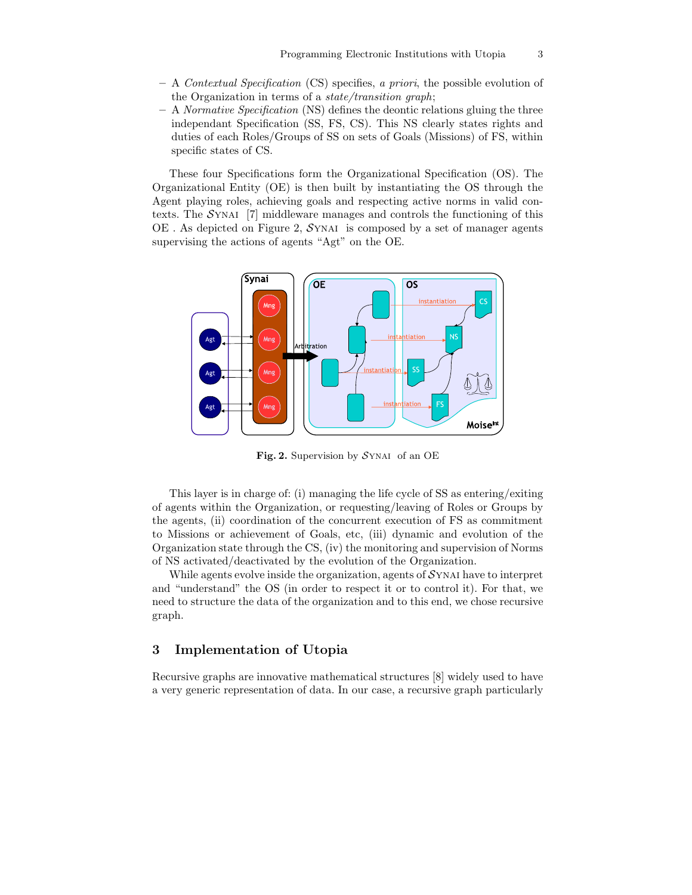- $A$  Contextual Specification (CS) specifies, a priori, the possible evolution of the Organization in terms of a state/transition graph;
- $-$  A *Normative Specification* (NS) defines the deontic relations gluing the three independant Specification (SS, FS, CS). This NS clearly states rights and duties of each Roles/Groups of SS on sets of Goals (Missions) of FS, within specific states of CS.

These four Specifications form the Organizational Specification (OS). The Organizational Entity (OE) is then built by instantiating the OS through the Agent playing roles, achieving goals and respecting active norms in valid contexts. The  $\mathcal{S}_{\text{YNAI}}$  [7] middleware manages and controls the functioning of this  $OE$ . As depicted on Figure 2,  $SYNAI$  is composed by a set of manager agents supervising the actions of agents "Agt" on the OE.



Fig. 2. Supervision by  $SYNAI$  of an OE

This layer is in charge of: (i) managing the life cycle of SS as entering/exiting of agents within the Organization, or requesting/leaving of Roles or Groups by the agents, (ii) coordination of the concurrent execution of FS as commitment to Missions or achievement of Goals, etc, (iii) dynamic and evolution of the Organization state through the CS, (iv) the monitoring and supervision of Norms of NS activated/deactivated by the evolution of the Organization.

While agents evolve inside the organization, agents of  $S_{\text{YNAI}}$  have to interpret and "understand" the OS (in order to respect it or to control it). For that, we need to structure the data of the organization and to this end, we chose recursive graph.

## 3 Implementation of Utopia

Recursive graphs are innovative mathematical structures [8] widely used to have a very generic representation of data. In our case, a recursive graph particularly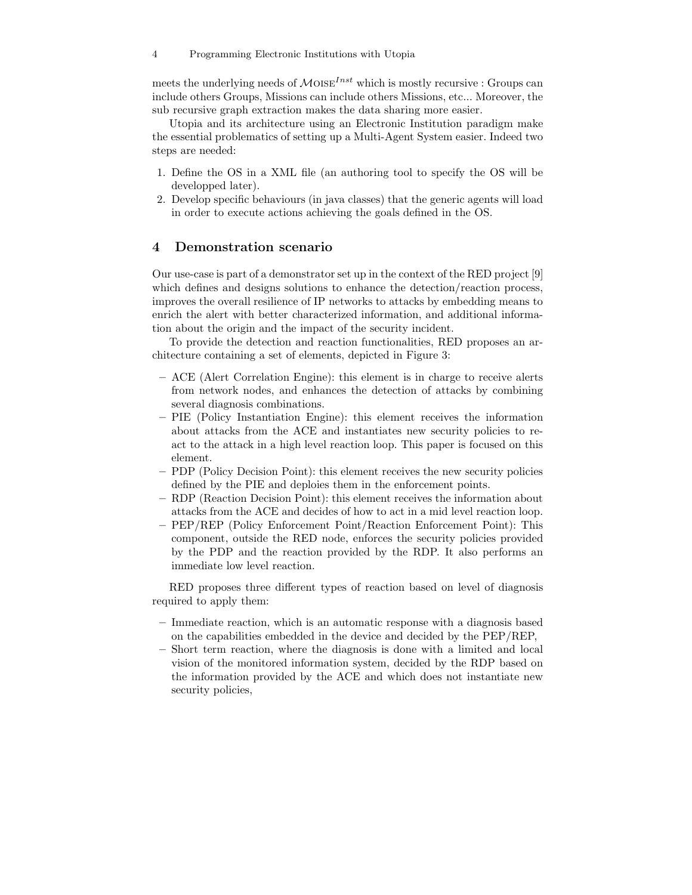meets the underlying needs of  $\mathcal{M}$ OISE<sup>Inst</sup> which is mostly recursive : Groups can include others Groups, Missions can include others Missions, etc... Moreover, the sub recursive graph extraction makes the data sharing more easier.

Utopia and its architecture using an Electronic Institution paradigm make the essential problematics of setting up a Multi-Agent System easier. Indeed two steps are needed:

- 1. Define the OS in a XML file (an authoring tool to specify the OS will be developped later).
- 2. Develop specific behaviours (in java classes) that the generic agents will load in order to execute actions achieving the goals defined in the OS.

### 4 Demonstration scenario

Our use-case is part of a demonstrator set up in the context of the RED project [9] which defines and designs solutions to enhance the detection/reaction process, improves the overall resilience of IP networks to attacks by embedding means to enrich the alert with better characterized information, and additional information about the origin and the impact of the security incident.

To provide the detection and reaction functionalities, RED proposes an architecture containing a set of elements, depicted in Figure 3:

- ACE (Alert Correlation Engine): this element is in charge to receive alerts from network nodes, and enhances the detection of attacks by combining several diagnosis combinations.
- PIE (Policy Instantiation Engine): this element receives the information about attacks from the ACE and instantiates new security policies to react to the attack in a high level reaction loop. This paper is focused on this element.
- PDP (Policy Decision Point): this element receives the new security policies defined by the PIE and deploies them in the enforcement points.
- RDP (Reaction Decision Point): this element receives the information about attacks from the ACE and decides of how to act in a mid level reaction loop.
- PEP/REP (Policy Enforcement Point/Reaction Enforcement Point): This component, outside the RED node, enforces the security policies provided by the PDP and the reaction provided by the RDP. It also performs an immediate low level reaction.

RED proposes three different types of reaction based on level of diagnosis required to apply them:

- Immediate reaction, which is an automatic response with a diagnosis based on the capabilities embedded in the device and decided by the PEP/REP,
- Short term reaction, where the diagnosis is done with a limited and local vision of the monitored information system, decided by the RDP based on the information provided by the ACE and which does not instantiate new security policies,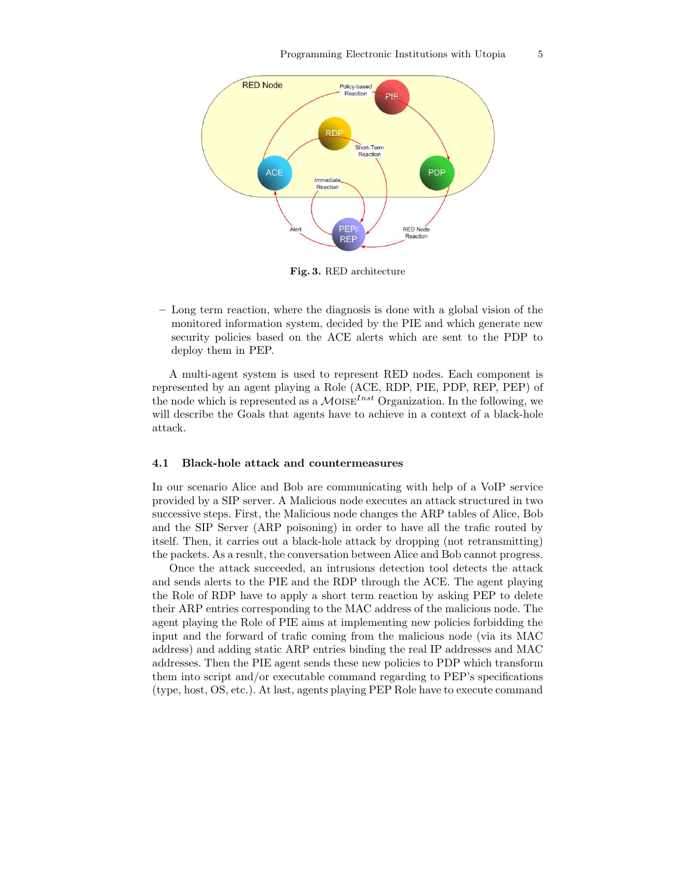

Fig. 3. RED architecture

– Long term reaction, where the diagnosis is done with a global vision of the monitored information system, decided by the PIE and which generate new security policies based on the ACE alerts which are sent to the PDP to deploy them in PEP.

A multi-agent system is used to represent RED nodes. Each component is represented by an agent playing a Role (ACE, RDP, PIE, PDP, REP, PEP) of the node which is represented as a  $MOISE^{Inst}$  Organization. In the following, we will describe the Goals that agents have to achieve in a context of a black-hole attack.

#### 4.1 Black-hole attack and countermeasures

In our scenario Alice and Bob are communicating with help of a VoIP service provided by a SIP server. A Malicious node executes an attack structured in two successive steps. First, the Malicious node changes the ARP tables of Alice, Bob and the SIP Server (ARP poisoning) in order to have all the trafic routed by itself. Then, it carries out a black-hole attack by dropping (not retransmitting) the packets. As a result, the conversation between Alice and Bob cannot progress.

Once the attack succeeded, an intrusions detection tool detects the attack and sends alerts to the PIE and the RDP through the ACE. The agent playing the Role of RDP have to apply a short term reaction by asking PEP to delete their ARP entries corresponding to the MAC address of the malicious node. The agent playing the Role of PIE aims at implementing new policies forbidding the input and the forward of trafic coming from the malicious node (via its MAC address) and adding static ARP entries binding the real IP addresses and MAC addresses. Then the PIE agent sends these new policies to PDP which transform them into script and/or executable command regarding to PEP's specifications (type, host, OS, etc.). At last, agents playing PEP Role have to execute command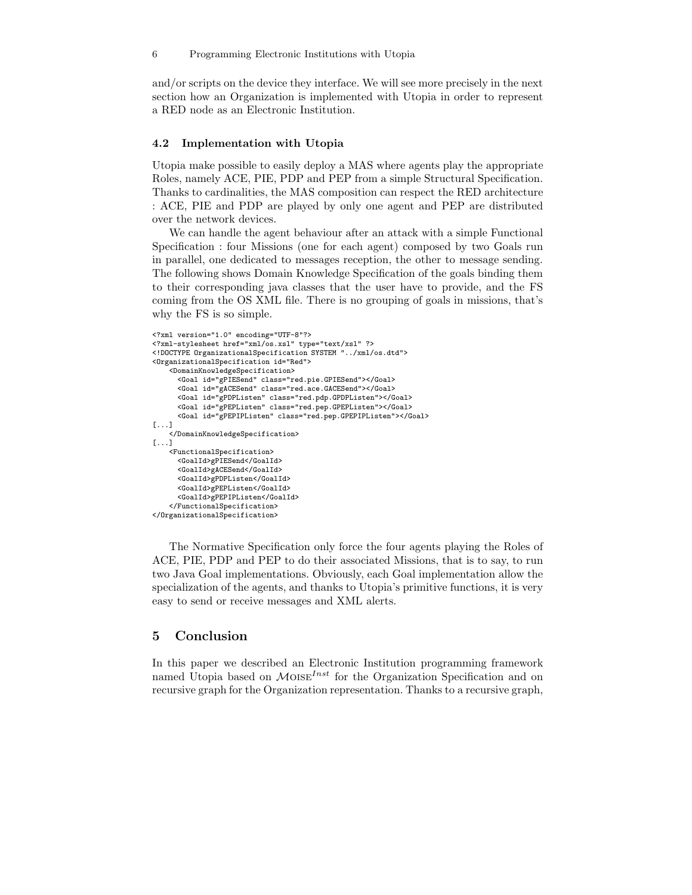and/or scripts on the device they interface. We will see more precisely in the next section how an Organization is implemented with Utopia in order to represent a RED node as an Electronic Institution.

#### 4.2 Implementation with Utopia

Utopia make possible to easily deploy a MAS where agents play the appropriate Roles, namely ACE, PIE, PDP and PEP from a simple Structural Specification. Thanks to cardinalities, the MAS composition can respect the RED architecture : ACE, PIE and PDP are played by only one agent and PEP are distributed over the network devices.

We can handle the agent behaviour after an attack with a simple Functional Specification : four Missions (one for each agent) composed by two Goals run in parallel, one dedicated to messages reception, the other to message sending. The following shows Domain Knowledge Specification of the goals binding them to their corresponding java classes that the user have to provide, and the FS coming from the OS XML file. There is no grouping of goals in missions, that's why the FS is so simple.

```
<?xml version="1.0" encoding="UTF-8"?>
<?xml-stylesheet href="xml/os.xsl" type="text/xsl" ?>
<!DOCTYPE OrganizationalSpecification SYSTEM "../xml/os.dtd">
<OrganizationalSpecification id="Red">
    <DomainKnowledgeSpecification>
      <Goal id="gPIESend" class="red.pie.GPIESend"></Goal>
      <Goal id="gACESend" class="red.ace.GACESend"></Goal>
      <Goal id="gPDPListen" class="red.pdp.GPDPListen"></Goal>
      <Goal id="gPEPListen" class="red.pep.GPEPListen"></Goal>
      <Goal id="gPEPIPListen" class="red.pep.GPEPIPListen"></Goal>
[1, 1]</DomainKnowledgeSpecification>
[1, 1]<FunctionalSpecification>
      <GoalId>gPIESend</GoalId>
      <GoalId>gACESend</GoalId>
      <GoalId>gPDPListen</GoalId>
      <GoalId>gPEPListen</GoalId>
      <GoalId>gPEPIPListen</GoalId>
    </FunctionalSpecification>
</OrganizationalSpecification>
```
The Normative Specification only force the four agents playing the Roles of ACE, PIE, PDP and PEP to do their associated Missions, that is to say, to run two Java Goal implementations. Obviously, each Goal implementation allow the specialization of the agents, and thanks to Utopia's primitive functions, it is very easy to send or receive messages and XML alerts.

### 5 Conclusion

In this paper we described an Electronic Institution programming framework named Utopia based on  $M$ OISE<sup>Inst</sup> for the Organization Specification and on recursive graph for the Organization representation. Thanks to a recursive graph,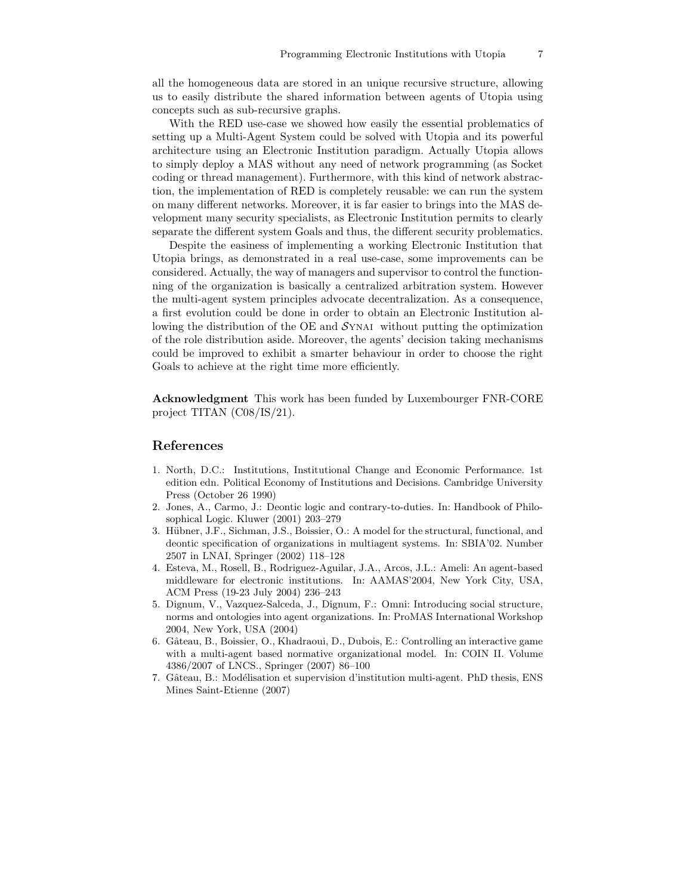all the homogeneous data are stored in an unique recursive structure, allowing us to easily distribute the shared information between agents of Utopia using concepts such as sub-recursive graphs.

With the RED use-case we showed how easily the essential problematics of setting up a Multi-Agent System could be solved with Utopia and its powerful architecture using an Electronic Institution paradigm. Actually Utopia allows to simply deploy a MAS without any need of network programming (as Socket coding or thread management). Furthermore, with this kind of network abstraction, the implementation of RED is completely reusable: we can run the system on many different networks. Moreover, it is far easier to brings into the MAS development many security specialists, as Electronic Institution permits to clearly separate the different system Goals and thus, the different security problematics.

Despite the easiness of implementing a working Electronic Institution that Utopia brings, as demonstrated in a real use-case, some improvements can be considered. Actually, the way of managers and supervisor to control the functionning of the organization is basically a centralized arbitration system. However the multi-agent system principles advocate decentralization. As a consequence, a first evolution could be done in order to obtain an Electronic Institution allowing the distribution of the OE and  $\mathcal{S}_{\text{YNAI}}$  without putting the optimization of the role distribution aside. Moreover, the agents' decision taking mechanisms could be improved to exhibit a smarter behaviour in order to choose the right Goals to achieve at the right time more efficiently.

Acknowledgment This work has been funded by Luxembourger FNR-CORE project TITAN (C08/IS/21).

#### References

- 1. North, D.C.: Institutions, Institutional Change and Economic Performance. 1st edition edn. Political Economy of Institutions and Decisions. Cambridge University Press (October 26 1990)
- 2. Jones, A., Carmo, J.: Deontic logic and contrary-to-duties. In: Handbook of Philosophical Logic. Kluwer (2001) 203–279
- 3. Hübner, J.F., Sichman, J.S., Boissier, O.: A model for the structural, functional, and deontic specification of organizations in multiagent systems. In: SBIA'02. Number 2507 in LNAI, Springer (2002) 118–128
- 4. Esteva, M., Rosell, B., Rodriguez-Aguilar, J.A., Arcos, J.L.: Ameli: An agent-based middleware for electronic institutions. In: AAMAS'2004, New York City, USA, ACM Press (19-23 July 2004) 236–243
- 5. Dignum, V., Vazquez-Salceda, J., Dignum, F.: Omni: Introducing social structure, norms and ontologies into agent organizations. In: ProMAS International Workshop 2004, New York, USA (2004)
- 6. Gâteau, B., Boissier, O., Khadraoui, D., Dubois, E.: Controlling an interactive game with a multi-agent based normative organizational model. In: COIN II. Volume 4386/2007 of LNCS., Springer (2007) 86–100
- 7. Gâteau, B.: Modélisation et supervision d'institution multi-agent. PhD thesis, ENS Mines Saint-Etienne (2007)